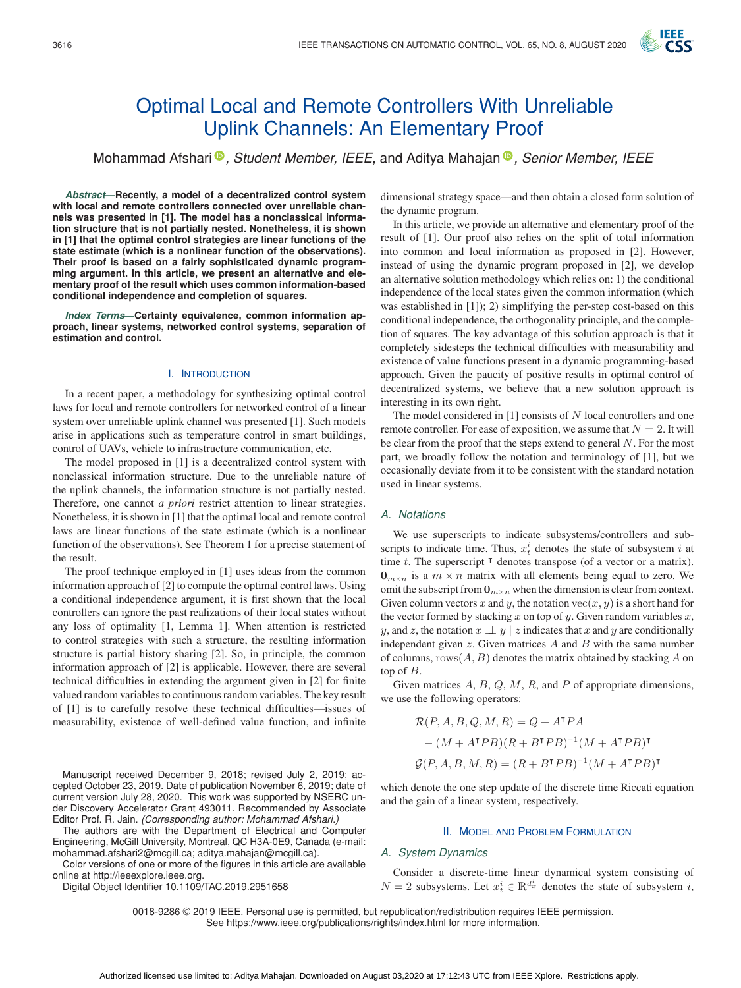

# Optimal Local and Remote Controllers With Unreliable Uplink Channels: An Elementary Proof

Mohammad Afshari<sup>®</sup>[,](https://orcid.org/0000-0001-8125-1191) *Student Member, IEEE*, and Aditya Mahajan<sup>®</sup>, *Senior Member, IEEE* 

*Abstract***—Recently, a model of a decentralized control system with local and remote controllers connected over unreliable channels was presented in [1]. The model has a nonclassical information structure that is not partially nested. Nonetheless, it is shown in [1] that the optimal control strategies are linear functions of the state estimate (which is a nonlinear function of the observations). Their proof is based on a fairly sophisticated dynamic programming argument. In this article, we present an alternative and elementary proof of the result which uses common information-based conditional independence and completion of squares.**

*Index Terms***—Certainty equivalence, common information approach, linear systems, networked control systems, separation of estimation and control.**

## I. INTRODUCTION

In a recent paper, a methodology for synthesizing optimal control laws for local and remote controllers for networked control of a linear system over unreliable uplink channel was presented [1]. Such models arise in applications such as temperature control in smart buildings, control of UAVs, vehicle to infrastructure communication, etc.

The model proposed in [1] is a decentralized control system with nonclassical information structure. Due to the unreliable nature of the uplink channels, the information structure is not partially nested. Therefore, one cannot *a priori* restrict attention to linear strategies. Nonetheless, it is shown in [1] that the optimal local and remote control laws are linear functions of the state estimate (which is a nonlinear function of the observations). See Theorem 1 for a precise statement of the result.

The proof technique employed in [1] uses ideas from the common information approach of [2] to compute the optimal control laws. Using a conditional independence argument, it is first shown that the local controllers can ignore the past realizations of their local states without any loss of optimality [1, Lemma 1]. When attention is restricted to control strategies with such a structure, the resulting information structure is partial history sharing [2]. So, in principle, the common information approach of [2] is applicable. However, there are several technical difficulties in extending the argument given in [2] for finite valued random variables to continuous random variables. The key result of [1] is to carefully resolve these technical difficulties—issues of measurability, existence of well-defined value function, and infinite

Manuscript received December 9, 2018; revised July 2, 2019; accepted October 23, 2019. Date of publication November 6, 2019; date of current version July 28, 2020. This work was supported by NSERC under Discovery Accelerator Grant 493011. Recommended by Associate Editor Prof. R. Jain. *(Corresponding author: Mohammad Afshari.)*

The authors are with the Department of Electrical and Computer Engineering, McGill University, Montreal, QC H3A-0E9, Canada (e-mail: [mohammad.afshari2@mcgill.ca;](mailto:mohammad.afshari2@mcgill.ca) [aditya.mahajan@mcgill.ca\)](mailto:aditya.mahajan@mcgill.ca).

Color versions of one or more of the figures in this article are available online at [http://ieeexplore.ieee.org.](http://ieeexplore.ieee.org)

Digital Object Identifier 10.1109/TAC.2019.2951658

dimensional strategy space—and then obtain a closed form solution of the dynamic program.

In this article, we provide an alternative and elementary proof of the result of [1]. Our proof also relies on the split of total information into common and local information as proposed in [2]. However, instead of using the dynamic program proposed in [2], we develop an alternative solution methodology which relies on: 1) the conditional independence of the local states given the common information (which was established in [1]); 2) simplifying the per-step cost-based on this conditional independence, the orthogonality principle, and the completion of squares. The key advantage of this solution approach is that it completely sidesteps the technical difficulties with measurability and existence of value functions present in a dynamic programming-based approach. Given the paucity of positive results in optimal control of decentralized systems, we believe that a new solution approach is interesting in its own right.

The model considered in  $[1]$  consists of  $N$  local controllers and one remote controller. For ease of exposition, we assume that  $N = 2$ . It will be clear from the proof that the steps extend to general N. For the most part, we broadly follow the notation and terminology of [1], but we occasionally deviate from it to be consistent with the standard notation used in linear systems.

# *A. Notations*

We use superscripts to indicate subsystems/controllers and subscripts to indicate time. Thus,  $x_t^i$  denotes the state of subsystem *i* at time *t*. The superscript I denotes transpose (of a vector or a matrix) time t. The superscript  $\tau$  denotes transpose (of a vector or a matrix).<br>O is a  $m \times n$  matrix with all elements being equal to zero. We  $\mathbf{0}_{m \times n}$  is a  $m \times n$  matrix with all elements being equal to zero. We omit the subscript from  $\mathbf{0}_{m \times n}$  when the dimension is clear from context. Given column vectors x and y, the notation  $\text{vec}(x, y)$  is a short hand for the vector formed by stacking  $x$  on top of  $y$ . Given random variables  $x$ , y, and z, the notation  $x \perp y \mid z$  indicates that x and y are conditionally independent given  $z$ . Given matrices  $A$  and  $B$  with the same number of columns,  $rows(A, B)$  denotes the matrix obtained by stacking A on top of B.

Given matrices  $A, B, Q, M, R$ , and  $P$  of appropriate dimensions, we use the following operators:

$$
\mathcal{R}(P, A, B, Q, M, R) = Q + ATPA
$$

$$
- (M + ATPB)(R + BTPB)-1(M + ATPB)T
$$

$$
\mathcal{G}(P, A, B, M, R) = (R + BTPB)-1(M + ATPB)T
$$

which denote the one step update of the discrete time Riccati equation and the gain of a linear system, respectively.

## II. MODEL AND PROBLEM FORMULATION

#### *A. System Dynamics*

Consider a discrete-time linear dynamical system consisting of  $N = 2$  subsystems. Let  $x_i^i \in \mathbb{R}^{d_x^i}$  denotes the state of subsystem *i*,

0018-9286 © 2019 IEEE. Personal use is permitted, but republication/redistribution requires IEEE permission. See https://www.ieee.org/publications/rights/index.html for more information.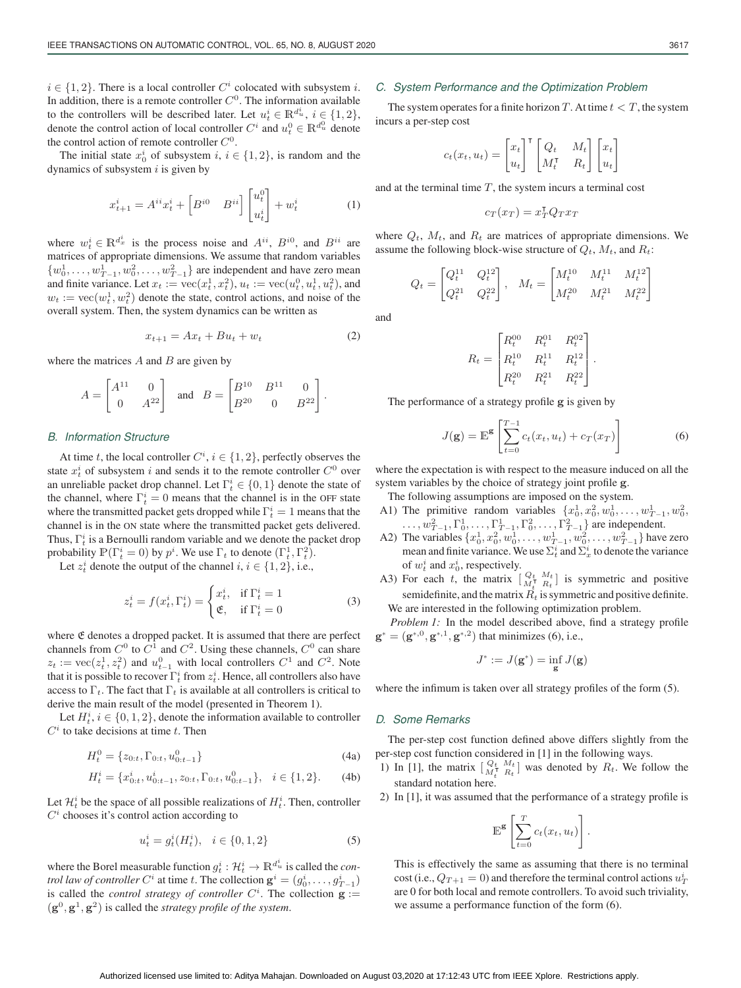$i \in \{1, 2\}$ . There is a local controller  $C^i$  colocated with subsystem i. In addition, there is a remote controller  $C<sup>0</sup>$ . The information available to the controllers will be described later. Let  $u_t^i \in \mathbb{R}^{d_u^i}$ ,  $i \in \{1, 2\}$ , denote the control action of local controller  $C^i$  and  $u^0 \in \mathbb{R}^{d_u^0}$  denote denote the control action of local controller  $C^i$  and  $u_t^0 \in \mathbb{R}^{d_u^0}$  denote the control action of remote controller  $C^0$ the control action of remote controller  $C^0$ .

The initial state  $x_0^i$  of subsystem  $i, i \in \{1, 2\}$ , is random and the namics of subsystem  $i$  is given by dynamics of subsystem  $i$  is given by

$$
x_{t+1}^i = A^{ii} x_t^i + \begin{bmatrix} B^{i0} & B^{ii} \end{bmatrix} \begin{bmatrix} u_t^0 \\ u_t^i \end{bmatrix} + w_t^i \tag{1}
$$

where  $w_t^i \in \mathbb{R}^{d_x^i}$  is the process noise and  $A^{ii}$ ,  $B^{i0}$ , and  $B^{ii}$  are matrices of appropriate dimensions. We assume that random variables matrices of appropriate dimensions. We assume that random variables  $\{w_0^1, \ldots, w_{T-1}^1, w_0^2, \ldots, w_{T-1}^2\}$  are independent and have zero mean<br>and finite variance Let  $x_0 := \text{vec}(x^1, x^2), y_0 := \text{vec}(y^0, y^1, y^2)$  and and finite variance. Let  $x_t := \text{vec}(x_t^1, x_t^2), u_t := \text{vec}(u_t^0, u_t^1, u_t^2)$ , and<br> $u_t := \text{vec}(u_t^1, u_t^2)$  denote the state, control actions, and noise of the  $w_t := \text{vec}(w_t^1, w_t^2)$  denote the state, control actions, and noise of the overall system. Then the system dynamics can be written as overall system. Then, the system dynamics can be written as

$$
x_{t+1} = Ax_t + Bu_t + w_t \tag{2}
$$

where the matrices  $A$  and  $B$  are given by

$$
A = \begin{bmatrix} A^{11} & 0 \\ 0 & A^{22} \end{bmatrix} \text{ and } B = \begin{bmatrix} B^{10} & B^{11} & 0 \\ B^{20} & 0 & B^{22} \end{bmatrix}.
$$

## *B. Information Structure*

At time t, the local controller  $C^i$ ,  $i \in \{1, 2\}$ , perfectly observes the  $x^i$  of subsystem i and sends it to the remote controller  $C^0$  over state  $x_i^i$  of subsystem i and sends it to the remote controller  $C^0$  over<br>an unreliable packet drop channel Let  $\Gamma^i \subseteq \{0, 1\}$  denote the state of an unreliable packet drop channel. Let  $\Gamma_t^i \in \{0, 1\}$  denote the state of the channel, where  $\Gamma_t^i = 0$  means that the channel is in the OFF state where the transmitted packet gets dropped while  $\Gamma_t^i = 1$  means that the channel is in the ON state where the transmitted packet gets delivered. Thus,  $\Gamma_t^i$  is a Bernoulli random variable and we denote the packet drop probability  $\mathbb{P}(\Gamma_t^i = 0)$  by  $p^i$ . We use  $\Gamma_t$  to denote  $(\Gamma_t^1, \Gamma_t^2)$ .<br>Let  $z^i$  denote the output of the channel  $i, i \in \{1, 2\}$  i.e.

Let  $z_t^i$  denote the output of the channel  $i, i \in \{1, 2\}$ , i.e.,

$$
z_t^i = f(x_t^i, \Gamma_t^i) = \begin{cases} x_t^i, & \text{if } \Gamma_t^i = 1\\ \mathfrak{E}, & \text{if } \Gamma_t^i = 0 \end{cases}
$$
 (3)

where  $E$  denotes a dropped packet. It is assumed that there are perfect channels from  $C^0$  to  $C^1$  and  $C^2$ . Using these channels,  $C^0$  can share  $z_t := \text{vec}(z_t^1, z_t^2)$  and  $u_{t-1}^0$  with local controllers  $C^1$  and  $C^2$ . Note<br>that it is possible to recover  $\Gamma^i$  from  $z^i$ . Hence, all controllers also have that it is possible to recover  $\Gamma_t^i$  from  $z_t^i$ . Hence, all controllers also have access to  $\Gamma_t$ . The fact that  $\Gamma_t$  is available at all controllers is critical to derive the main result of the model (presented in Theorem 1).

Let  $H_t^i$ ,  $i \in \{0, 1, 2\}$ , denote the information available to controller<br>to take decisions at time t. Then  $C<sup>i</sup>$  to take decisions at time t. Then

$$
H_t^0 = \{z_{0:t}, \Gamma_{0:t}, u_{0:t-1}^0\}
$$
 (4a)

$$
H_t^i = \{x_{0:t}^i, u_{0:t-1}^i, z_{0:t}, \Gamma_{0:t}, u_{0:t-1}^0\}, \quad i \in \{1, 2\}.
$$
 (4b)

Let  $\mathcal{H}_t^i$  be the space of all possible realizations of  $H_t^i$ . Then, controller  $C^i$  chooses it's control action according to  $C<sup>i</sup>$  chooses it's control action according to

$$
u_t^i = g_t^i(H_t^i), \quad i \in \{0, 1, 2\}
$$
 (5)

where the Borel measurable function  $g_t^i : \mathcal{H}_t^i \to \mathbb{R}^{d_u^i}$  is called the *controllar*  $C^i$  at time  $t$ . The collection  $\sigma^i = (a^i, a^i, a^i)$ *trol law of controller*  $C^i$  at time *t*. The collection  $\mathbf{g}^i = (g_0^i, \dots, g_{T-1}^i)$ <br>is called the control strategy of controller  $C^i$ . The collection  $\mathbf{g}^i$ is called the *control strategy of controller*  $C^i$ . The collection **g** :=  $(\mathbf{g}^0, \mathbf{g}^1, \mathbf{g}^2)$  is called the *strategy profile of the system*.

#### *C. System Performance and the Optimization Problem*

The system operates for a finite horizon T. At time  $t < T$ , the system incurs a per-step cost

$$
c_t(x_t, u_t) = \begin{bmatrix} x_t \\ u_t \end{bmatrix}^\mathsf{T} \begin{bmatrix} Q_t & M_t \\ M_t^\mathsf{T} & R_t \end{bmatrix} \begin{bmatrix} x_t \\ u_t \end{bmatrix}
$$

and at the terminal time  $T$ , the system incurs a terminal cost

$$
c_T(x_T) = x_T^{\mathsf{T}} Q_T x_T
$$

where  $Q_t$ ,  $M_t$ , and  $R_t$  are matrices of appropriate dimensions. We assume the following block-wise structure of  $Q_t$ ,  $M_t$ , and  $R_t$ :

$$
Q_t = \begin{bmatrix} Q_t^{11} & Q_t^{12} \\ Q_t^{21} & Q_t^{22} \end{bmatrix}, \quad M_t = \begin{bmatrix} M_t^{10} & M_t^{11} & M_t^{12} \\ M_t^{20} & M_t^{21} & M_t^{22} \end{bmatrix}
$$

$$
R_t = \begin{bmatrix} R_t^{00} & R_t^{01} & R_t^{02} \\ R_t^{10} & R_t^{11} & R_t^{12} \\ R_t^{20} & R_t^{21} & R_t^{22} \end{bmatrix}.
$$

The performance of a strategy profile **g** is given by

$$
J(\mathbf{g}) = \mathbb{E}^{\mathbf{g}} \left[ \sum_{t=0}^{T-1} c_t(x_t, u_t) + c_T(x_T) \right]
$$
 (6)

where the expectation is with respect to the measure induced on all the system variables by the choice of strategy joint profile **g**.

The following assumptions are imposed on the system.

- A1) The primitive random variables  $\{x_0^1, x_0^2, w_0^1, \ldots, w_{T-1}^1, w_0^2, \ldots, w_{T-1}^1, w_0^2, \ldots, w_{T-1}^1, w_{T-1}^2, \ldots, w_{T-1}^1, w_{T-1}^2, \ldots, w_{T-1}^1, \ldots, w_{T-1}^1, \ldots, w_{T-1}^1, \ldots, w_{T-1}^1, \ldots, w_{T-1}^1, \ldots, w_{T-1}^1, \ldots, \$ The primative random variables  $\{u_0, u_0, w_0, \dots, w_{T-1}, w_0,$ <br>  $\dots, w_{T-1}^2, \Gamma_0^1, \dots, \Gamma_{T-1}^1, \Gamma_0^2, \dots, \Gamma_{T-1}^2\}$  are independent.<br>
The variables  $\{x_1^1, x_2^2, w_1^1, \dots, w_1^1, w_2^2, \dots, w_2^2\}$  have zero
- A2) The variables  $\{x_0^1, x_0^2, w_0^1, \ldots, w_{T-1}^1, w_0^2, \ldots, w_{T-1}^2\}$  have zero<br>mean and finite variance We use  $\Sigma^i$  and  $\Sigma^i$  to denote the variance mean and finite variance. We use  $\Sigma_t^i$  and  $\Sigma_x^i$  to denote the variance
- of  $w_t^i$  and  $x_0^i$ , respectively.<br>A3) For each t, the matrix  $\begin{bmatrix} Q_t \\ M_t^i \end{bmatrix}$  $\binom{M_t}{R_t}$  is symmetric and positive semidefinite, and the matrix  $\overline{R}_t$  is symmetric and positive definite. We are interested in the following optimization problem.

*Problem 1:* In the model described above, find a strategy profile  $\mathbf{g}^* = (\mathbf{g}^{*,0}, \mathbf{g}^{*,1}, \mathbf{g}^{*,2})$  that minimizes (6), i.e.,

$$
J^* := J(\mathbf{g}^*) = \inf_{\mathbf{g}} J(\mathbf{g})
$$

where the infimum is taken over all strategy profiles of the form (5).

#### *D. Some Remarks*

and

The per-step cost function defined above differs slightly from the

- per-step cost function considered in [1] in the following ways.<br>
1) In [1], the matrix  $\begin{bmatrix} Q_t & M_t \\ M_t^T & R_t \end{bmatrix}$  was denoted by  $R_t$ . We foll  $\begin{bmatrix} M_t \\ R_t \end{bmatrix}$  was denoted by  $R_t$ . We follow the standard notation here.
- 2) In [1], it was assumed that the performance of a strategy profile is

$$
\mathbb{E}^{\mathbf{g}}\left[\sum_{t=0}^{T}c_{t}(x_{t},u_{t})\right]
$$

This is effectively the same as assuming that there is no terminal cost (i.e.,  $Q_{T+1} = 0$ ) and therefore the terminal control actions  $u_T^i$ <br>are 0 for both local and remote controllers. To avoid such triviality are 0 for both local and remote controllers. To avoid such triviality, we assume a performance function of the form (6).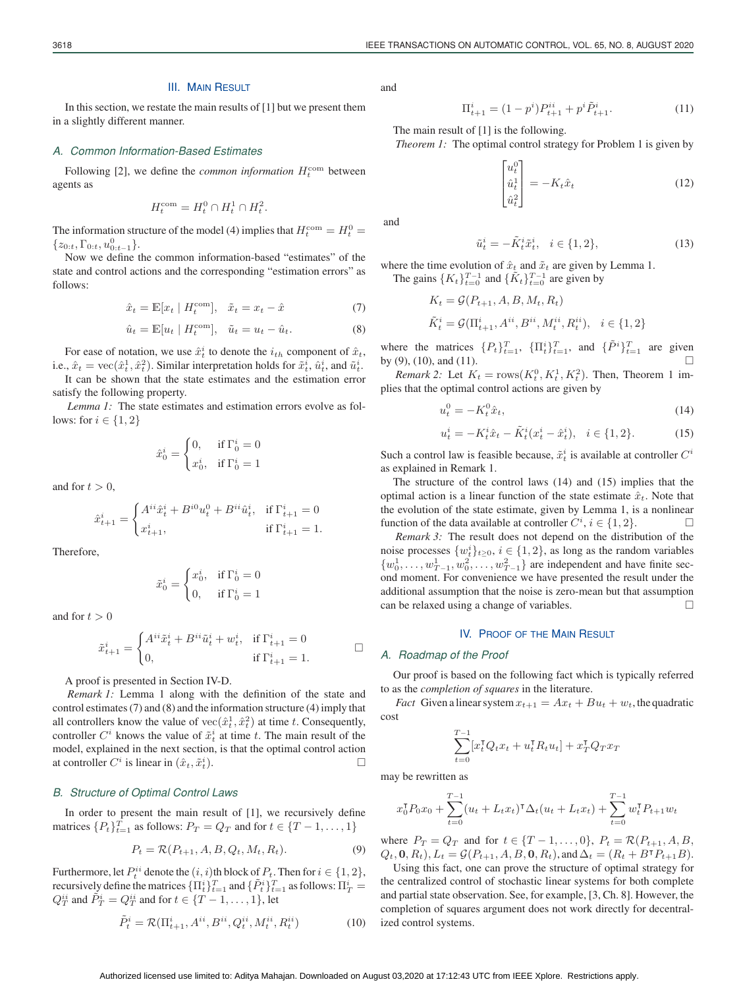## **III. MAIN RESULT**

In this section, we restate the main results of [1] but we present them in a slightly different manner.

#### *A. Common Information-Based Estimates*

Following [2], we define the *common information*  $H_t^{\text{com}}$  between agents as

$$
H_t^{\text{com}} = H_t^0 \cap H_t^1 \cap H_t^2.
$$

The information structure of the model (4) implies that  $H_t^{\text{com}} = H_t^0 =$  ${z_{0:t}, \Gamma_{0:t}, u_{0:t-1}^0}.$ Now we define t

Now we define the common information-based "estimates" of the state and control actions and the corresponding "estimation errors" as follows:

$$
\hat{x}_t = \mathbb{E}[x_t | H_t^{\text{com}}], \quad \tilde{x}_t = x_t - \hat{x} \tag{7}
$$

$$
\hat{u}_t = \mathbb{E}[u_t | H_t^{\text{com}}], \quad \tilde{u}_t = u_t - \hat{u}_t. \tag{8}
$$

For ease of notation, we use  $\hat{x}_t^i$  to denote the  $i_{th}$  component of  $\hat{x}_t$ ,  $\hat{x} = \text{vec}(\hat{x}^i \cdot \hat{x}^i)$ . Similar interpretation holds for  $\hat{x}^i \cdot \hat{x}^i$  and  $\hat{x}^i$ . i.e.,  $\hat{x}_t = \text{vec}(\hat{x}_t^1, \hat{x}_t^2)$ . Similar interpretation holds for  $\tilde{x}_t^i, \hat{u}_t^i$ , and  $\tilde{u}_t^i$ .<br>It can be shown that the state estimates and the estimation error

It can be shown that the state estimates and the estimation error satisfy the following property.

*Lemma 1:* The state estimates and estimation errors evolve as follows: for  $i \in \{1, 2\}$ 

$$
\hat{x}_0^i = \begin{cases} 0, & \text{if } \Gamma_0^i = 0 \\ x_0^i, & \text{if } \Gamma_0^i = 1 \end{cases}
$$

and for  $t > 0$ ,

$$
\label{eq:2} \hat{x}_{t+1}^i = \begin{cases} A^{ii}\hat{x}_t^i + B^{i0}u_t^0 + B^{ii}\hat{u}_t^i, & \text{if } \Gamma_{t+1}^i = 0 \\ x_{t+1}^i, & \text{if } \Gamma_{t+1}^i = 1. \end{cases}
$$

Therefore,

$$
\tilde{x}_0^i = \begin{cases} x_0^i, & \text{if } \Gamma_0^i = 0 \\ 0, & \text{if } \Gamma_0^i = 1 \end{cases}
$$

and for  $t > 0$ 

$$
\tilde{x}_{t+1}^i = \begin{cases}\nA^{ii}\tilde{x}_t^i + B^{ii}\tilde{u}_t^i + w_t^i, & \text{if } \Gamma_{t+1}^i = 0 \\
0, & \text{if } \Gamma_{t+1}^i = 1.\n\end{cases} \square
$$

A proof is presented in Section IV-D.

*Remark 1:* Lemma 1 along with the definition of the state and control estimates (7) and (8) and the information structure (4) imply that all controllers know the value of  $\vec{v} \in (\hat{x}_t^1, \hat{x}_t^2)$  at time t. Consequently,<br>controller  $C^i$  knows the value of  $\tilde{x}^i$  at time t. The main result of the controller  $C^i$  knows the value of  $\tilde{x}_t^i$  at time t. The main result of the model explained in the next section is that the optimal control action model, explained in the next section, is that the optimal control action at controller  $C^i$  is linear in  $(\hat{x}_t, \tilde{x}_t^i)$ .  $\left( \begin{array}{c} i \\ t \end{array} \right)$ .

## *B. Structure of Optimal Control Laws*

In order to present the main result of [1], we recursively define matrices  $\{P_t\}_{t=1}^T$  as follows:  $P_T = Q_T$  and for  $t \in \{T-1, \ldots, 1\}$ 

$$
P_t = \mathcal{R}(P_{t+1}, A, B, Q_t, M_t, R_t).
$$
\n<sup>(9)</sup>

Furthermore, let  $P_t^{ii}$  denote the  $(i, i)$ th block of  $P_t$ . Then for  $i \in \{1, 2\}$ ,<br>recursively define the matrices  $\{ \Pi^i \}^T$  and  $\{ \tilde{P}^i \}^T$  as follows:  $\Pi^i$ recursively define the matrices  $\{\Pi_t^i\}_{t=1}^T$  and  $\{\tilde{P}_t^i\}_{t=1}^T$  as follows:  $\Pi_T^i =$ <br> $O_t^{ii}$  and  $\tilde{P}_t^i = O_t^{ii}$  and for  $t \in \{T-1, 1\}$  let  $Q_T^{ii}$  and  $\tilde{P}_T^i = Q_T^{ii}$  and for  $t \in \{T-1, \ldots, 1\}$ , let

$$
\tilde{P}_t^i = \mathcal{R}(\Pi_{t+1}^i, A^{ii}, B^{ii}, Q_t^{ii}, M_t^{ii}, R_t^{ii})
$$
\n(10)

and

$$
\Pi_{t+1}^i = (1 - p^i) P_{t+1}^{ii} + p^i \tilde{P}_{t+1}^i.
$$
 (11)

The main result of [1] is the following.

*Theorem 1:* The optimal control strategy for Problem 1 is given by

$$
\begin{bmatrix} u_t^0 \\ \hat{u}_t^1 \\ \hat{u}_t^2 \end{bmatrix} = -K_t \hat{x}_t \tag{12}
$$

and

$$
\tilde{u}_t^i = -\tilde{K}_t^i \tilde{x}_t^i, \quad i \in \{1, 2\},\tag{13}
$$

where the time evolution of  $\hat{x}_t$  and  $\tilde{x}_t$  are given by Lemma 1.

The gains  $\{K_t\}_{t=0}^{T-1}$  and  $\{\tilde{K}_t\}_{t=0}^{T-1}$  are given by

$$
K_t = \mathcal{G}(P_{t+1}, A, B, M_t, R_t)
$$
  

$$
\tilde{K}_t^i = \mathcal{G}(\Pi_{t+1}^i, A^{ii}, B^{ii}, M_t^{ii}, R_t^{ii}), \quad i \in \{1, 2\}
$$

where the matrices  $\{P_t\}_{t=1}^T$ ,  $\{\Pi_t^i\}_{t=1}^T$ , and  $\{\tilde{P}^i\}_{t=1}^T$  are given by (9) (10) and (11) by  $(9)$ ,  $(10)$ , and  $(11)$ .

*Remark 2:* Let  $K_t = \text{rows}(K_t^0, K_t^1, K_t^2)$ . Then, Theorem 1 implies that the optimal control actions are given by

$$
u_t^0 = -K_t^0 \hat{x}_t,\tag{14}
$$

$$
u_t^i = -K_t^i \hat{x}_t - \tilde{K}_t^i (x_t^i - \hat{x}_t^i), \quad i \in \{1, 2\}.
$$
 (15)

Such a control law is feasible because,  $\tilde{x}_t^i$  is available at controller  $C^i$ <br>as explained in Remark 1 as explained in Remark 1.

The structure of the control laws (14) and (15) implies that the optimal action is a linear function of the state estimate  $\hat{x}_t$ . Note that the evolution of the state estimate, given by Lemma 1, is a nonlinear function of the data available at controller  $C^i$ ,  $i \in \{1,2\}$ . ction of the data available at controller  $C^i$ ,  $i \in \{1, 2\}$ . □<br>*Remark 3:* The result does not depend on the distribution of the

noise processes  $\{w_i^i\}_{t\geq 0}$ ,  $i \in \{1, 2\}$ , as long as the random variables  $\{w_0^1, \ldots, w_{T-1}^1, w_0^2, \ldots, w_{T-1}^2\}$  are independent and have finite second moment. For convenience we have presented the result under the ond moment. For convenience we have presented the result under the additional assumption that the noise is zero-mean but that assumption can be relaxed using a change of variables.  $\Box$ 

## IV. PROOF OF THE MAIN RESULT

#### *A. Roadmap of the Proof*

Our proof is based on the following fact which is typically referred to as the *completion of squares* in the literature.

*Fact* Given a linear system  $x_{t+1} = Ax_t + Bu_t + w_t$ , the quadratic cost

$$
\sum_{t=0}^{T-1} [x_t^\mathsf{T} Q_t x_t + u_t^\mathsf{T} R_t u_t] + x_T^\mathsf{T} Q_T x_T
$$

may be rewritten as

$$
x_0^{\mathsf{T}} P_0 x_0 + \sum_{t=0}^{T-1} (u_t + L_t x_t)^{\mathsf{T}} \Delta_t (u_t + L_t x_t) + \sum_{t=0}^{T-1} w_t^{\mathsf{T}} P_{t+1} w_t
$$

where  $P_T = Q_T$  and for  $t \in \{T - 1, ..., 0\}$ ,  $P_t = \mathcal{R}(P_{t+1}, A, B, \mathcal{R})$  $Q_t$ , **0**,  $R_t$ ),  $L_t = \mathcal{G}(P_{t+1}, A, B, \mathbf{0}, R_t)$ , and  $\Delta_t = (R_t + B^\intercal P_{t+1}B)$ .<br>Using this fact, one can prove the structure of optimal strategy for

Using this fact, one can prove the structure of optimal strategy for the centralized control of stochastic linear systems for both complete and partial state observation. See, for example, [3, Ch. 8]. However, the completion of squares argument does not work directly for decentralized control systems.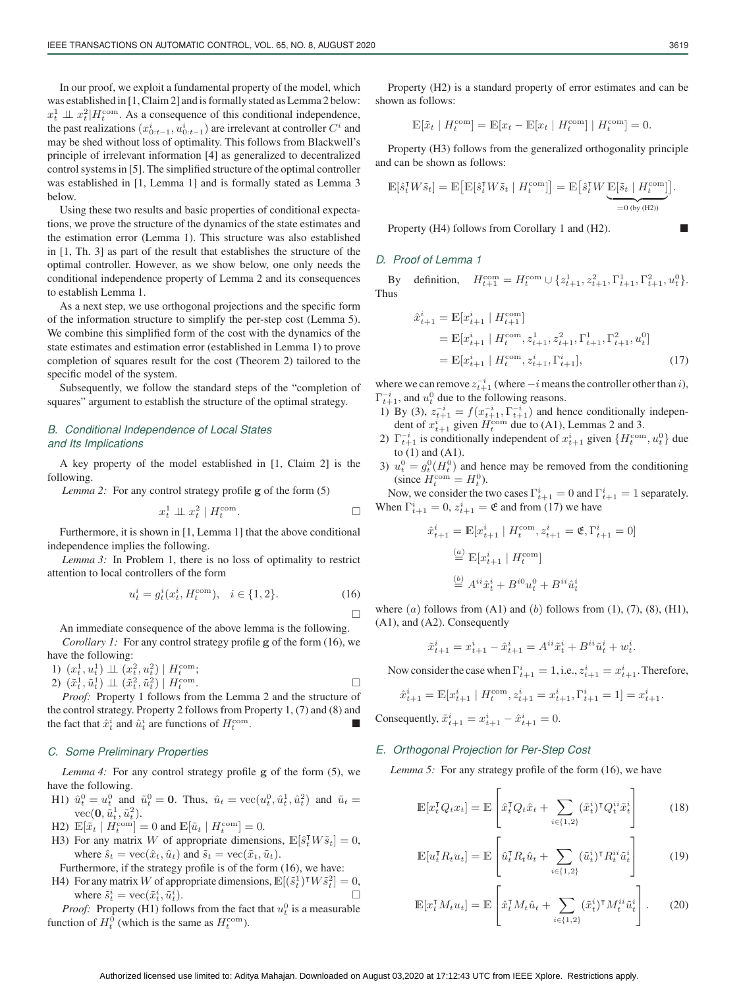In our proof, we exploit a fundamental property of the model, which was established in [1, Claim 2] and is formally stated as Lemma 2 below:  $x_t^1 \perp x_t^2 | H_t^{\text{com}}$ . As a consequence of this conditional independence,<br>the past realizations  $(x_t^i, \ldots, x_t^i)$  are irrelevant at controller  $C_t^i$  and the past realizations  $(x_{0:t-1}^i, u_{0:t-1}^i)$  are irrelevant at controller  $C^i$  and  $x_i$  and  $y_i$  are irrelevant at controller  $C^i$  and may be shed without loss of optimality. This follows from Blackwell's principle of irrelevant information [4] as generalized to decentralized control systems in [5]. The simplified structure of the optimal controller was established in [1, Lemma 1] and is formally stated as Lemma 3 below.

Using these two results and basic properties of conditional expectations, we prove the structure of the dynamics of the state estimates and the estimation error (Lemma 1). This structure was also established in [1, Th. 3] as part of the result that establishes the structure of the optimal controller. However, as we show below, one only needs the conditional independence property of Lemma 2 and its consequences to establish Lemma 1.

As a next step, we use orthogonal projections and the specific form of the information structure to simplify the per-step cost (Lemma 5). We combine this simplified form of the cost with the dynamics of the state estimates and estimation error (established in Lemma 1) to prove completion of squares result for the cost (Theorem 2) tailored to the specific model of the system.

Subsequently, we follow the standard steps of the "completion of squares" argument to establish the structure of the optimal strategy.

# *B. Conditional Independence of Local States and Its Implications*

A key property of the model established in [1, Claim 2] is the following.

*Lemma 2:* For any control strategy profile **g** of the form (5)

$$
x_t^1 \perp \!\!\! \perp x_t^2 \mid H_t^{\text{com}}.\quad \square
$$

Furthermore, it is shown in [1, Lemma 1] that the above conditional independence implies the following.

*Lemma 3:* In Problem 1, there is no loss of optimality to restrict attention to local controllers of the form

$$
u_t^i = g_t^i(x_t^i, H_t^{\text{com}}), \quad i \in \{1, 2\}.
$$
 (16)

An immediate consequence of the above lemma is the following.

*Corollary 1:* For any control strategy profile **g** of the form (16), we have the following:

1)  $(x_t^1, u_t^1) \perp (x_t^2, u_t^2) | H_t^{\text{com}};$ <br>
2)  $(\tilde{x}_t^1, \tilde{u}_t^1) | [\tilde{x}_t^2, \tilde{u}_t^2] | H_t^{\text{com}};$ 

2)  $(\tilde{x}_t^1, \tilde{u}_t^1) \perp (\tilde{x}_t^2, \tilde{u}_t^2) \mid H_t^{\text{com}}$ . *Proof:* Property 1 follows from the Lemma 2 and the structure of the control strategy. Property 2 follows from Property 1, (7) and (8) and the fact that  $\hat{x}_t^i$  and  $\hat{u}_t^i$  are functions of  $H_t^{\text{com}}$ .

## *C. Some Preliminary Properties*

*Lemma 4:* For any control strategy profile **g** of the form (5), we have the following.

- H1)  $\hat{u}_t^0 = u_t^0$  and  $\tilde{u}_t^0 = 0$ . Thus,  $\hat{u}_t = \text{vec}(u_t^0, \hat{u}_t^1, \hat{u}_t^2)$  and  $\tilde{u}_t = \text{vec}(0, \hat{u}_t^1, \hat{u}_t^2)$  $vec(\mathbf{0}, \tilde{u}_t^1, \tilde{u}_t^2).$ <br> $\mathbb{E}[\tilde{x} + H^{\text{com}}]$ .
- H2)  $\mathbb{E}[\tilde{x}_t | H_0^{\text{com}}] = 0$  and  $\mathbb{E}[\tilde{u}_t | H_0^{\text{com}}] = 0$ .<br>H3) For any matrix W of annonciate dimension
- H3) For any matrix W of appropriate dimensions,  $\mathbb{E}[\hat{s}_t^{\mathsf{T}} W \tilde{s}_t] = 0$ , where  $\hat{s}_t = \text{vec}(\hat{x}_t, \hat{y}_t)$  and  $\tilde{s}_t = \text{vec}(\tilde{x}_t, \tilde{y}_t)$ . where  $\hat{s}_t = \text{vec}(\hat{x}_t, \hat{u}_t)$  and  $\tilde{s}_t = \text{vec}(\tilde{x}_t, \tilde{u}_t)$ .

Furthermore, if the strategy profile is of the form (16), we have:

H4) For any matrix W of appropriate dimensions,  $\mathbb{E}[(\tilde{s}_t^1)^{\dagger} W \tilde{s}_t^2] = 0$ , where  $\tilde{s}^i = \text{vec}(\tilde{s}_t^i \tilde{n}^i)$ where  $\tilde{s}_t^i = \text{vec}(\tilde{x}_t^i, \tilde{u}_t^i)$  $\left( \begin{array}{c} i \\ t \end{array} \right)$ .

*Proof:* Property (H1) follows from the fact that  $u_t^0$  is a measurable ction of  $H^0$  (which is the same as  $H^{\text{com}}$ ) function of  $H_t^0$  (which is the same as  $H_t^{\text{com}}$ ).

Property (H2) is a standard property of error estimates and can be shown as follows:

$$
\mathbb{E}[\tilde{x}_t | H_t^{\text{com}}] = \mathbb{E}[x_t - \mathbb{E}[x_t | H_t^{\text{com}}] | H_t^{\text{com}}] = 0.
$$

Property (H3) follows from the generalized orthogonality principle and can be shown as follows:

$$
\mathbb{E}[\hat{s}_t^{\mathsf{T}} W \tilde{s}_t] = \mathbb{E}\big[\mathbb{E}[\hat{s}_t^{\mathsf{T}} W \tilde{s}_t \mid H_t^{\text{com}}]\big] = \mathbb{E}\big[\hat{s}_t^{\mathsf{T}} W \underbrace{\mathbb{E}[\tilde{s}_t \mid H_t^{\text{com}}]}_{=0 \text{ (by (H2))}}\big].
$$

Property (H4) follows from Corollary 1 and (H2).

# *D. Proof of Lemma 1*

By definition,  $H_{t+1}^{\text{com}} = H_t^{\text{com}} \cup \{z_{t+1}^1, z_{t+1}^2, \Gamma_{t+1}^1, \Gamma_{t+1}^2, u_t^0\}.$ Thus

$$
\begin{split} \hat{x}_{t+1}^i &= \mathbb{E}[x_{t+1}^i \mid H_{t+1}^{\text{com}}] \\ &= \mathbb{E}[x_{t+1}^i \mid H_t^{\text{com}}, z_{t+1}^1, z_{t+1}^2, \Gamma_{t+1}^1, \Gamma_{t+1}^2, u_t^0] \\ &= \mathbb{E}[x_{t+1}^i \mid H_t^{\text{com}}, z_{t+1}^i, \Gamma_{t+1}^i], \end{split} \tag{17}
$$

where we can remove  $z_{t+1}^{-i}$  (where  $-i$  means the controller other than i),<br> $\Gamma^{-i}$  and  $i^{0}$  due to the following reasons  $\Gamma_{t+1}^{-i}$ , and  $u_t^0$  due to the following reasons.<br>  $\Gamma_{t+1}^{-i}$ ,  $\Gamma_{t+1}^{-i}$ ,  $\Gamma_{t+1}^{-i}$ ,  $\Gamma_{t+1}^{-i}$ , and he

- 1) By (3),  $z_{t+1}^{-i} = f(x_{t+1}^{-i}, \Gamma_{t+1}^{-i})$  and hence conditionally independent of  $x_{t+1}^{i}$  given  $H^{\text{com}}$  due to (A1). Lemmas 2 and 3 dent of  $x_{t+1}^i$  given  $H_t^{com}$  due to (A1), Lemmas 2 and 3.<br> $\Gamma^{-i}$  is conditionally independent of  $x^i$  given f  $H_{\text{com}}$
- 2)  $\Gamma_{t+1}^{-i}$  is conditionally independent of  $x_{t+1}^{i}$  given  $\{H_t^{\text{com}}, u_t^0\}$  due to (1) and (A1).
- 3)  $u_t^0 = g_t^0(H_t^0)$  and hence may be removed from the conditioning<br>(since  $H^{\text{com}} H^0$ ) (since  $H_t^{\text{com}} = H_t^0$ ).<br>Low we consider the t

Now, we consider the two cases  $\Gamma_{t+1}^i = 0$  and  $\Gamma_{t+1}^i = 1$  separately. When  $\Gamma_{t+1}^i = 0$ ,  $z_{t+1}^i = \mathfrak{E}$  and from (17) we have

$$
\hat{x}_{t+1}^i = \mathbb{E}[x_{t+1}^i \mid H_t^{\text{com}}, z_{t+1}^i = \mathfrak{E}, \Gamma_{t+1}^i = 0]
$$
  
\n
$$
\stackrel{(a)}{=} \mathbb{E}[x_{t+1}^i \mid H_t^{\text{com}}]
$$
  
\n
$$
\stackrel{(b)}{=} A^{ii} \hat{x}_t^i + B^{i0} u_t^0 + B^{ii} \hat{u}_t^i
$$

where  $(a)$  follows from  $(A1)$  and  $(b)$  follows from  $(1), (7), (8), (H1),$ (A1), and (A2). Consequently

$$
\tilde{x}_{t+1}^i = x_{t+1}^i - \hat{x}_{t+1}^i = A^{ii}\tilde{x}_t^i + B^{ii}\tilde{u}_t^i + w_t^i.
$$

Now consider the case when  $\Gamma^i_{t+1} = 1$ , i.e.,  $z^i_{t+1} = x^i_{t+1}$ . Therefore,

$$
\hat{x}_{t+1}^i = \mathbb{E}[x_{t+1}^i \mid H_t^{\text{com}}, z_{t+1}^i = x_{t+1}^i, \Gamma_{t+1}^i = 1] = x_{t+1}^i.
$$

Consequently,  $\tilde{x}_{t+1}^i = x_{t+1}^i - \hat{x}_{t+1}^i = 0$ .

#### *E. Orthogonal Projection for Per-Step Cost*

*Lemma 5:* For any strategy profile of the form (16), we have

$$
\mathbb{E}[x_t^{\mathsf{T}} Q_t x_t] = \mathbb{E}\left[\hat{x}_t^{\mathsf{T}} Q_t \hat{x}_t + \sum_{i \in \{1,2\}} (\tilde{x}_t^i)^{\mathsf{T}} Q_t^{ii} \tilde{x}_t^i\right]
$$
(18)

$$
\mathbb{E}[u_t^{\mathsf{T}} R_t u_t] = \mathbb{E}\left[\hat{u}_t^{\mathsf{T}} R_t \hat{u}_t + \sum_{i \in \{1,2\}} (\tilde{u}_t^i)^{\mathsf{T}} R_t^{ii} \tilde{u}_t^i\right]
$$
(19)

$$
\mathbb{E}[x_t^\mathsf{T} M_t u_t] = \mathbb{E}\left[\hat{x}_t^\mathsf{T} M_t \hat{u}_t + \sum_{i \in \{1,2\}} (\tilde{x}_t^i)^\mathsf{T} M_t^{ii} \tilde{u}_t^i\right].\tag{20}
$$

 $\Box$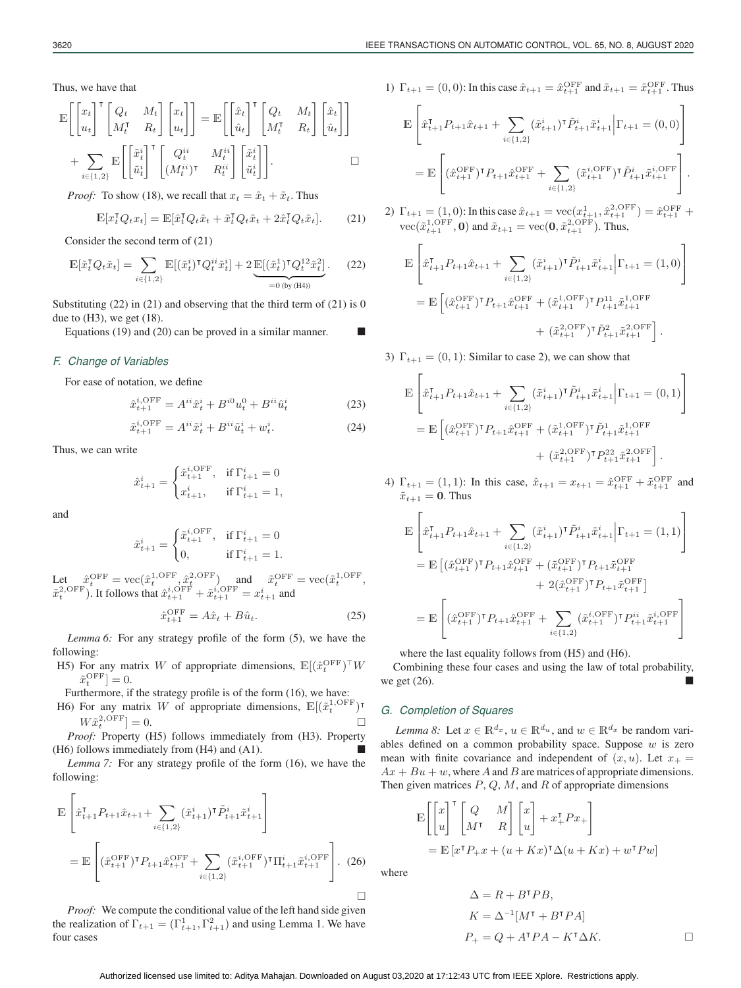Thus, we have that

$$
\mathbb{E}\left[\begin{bmatrix} x_t \\ u_t \end{bmatrix}^\mathsf{T} \begin{bmatrix} Q_t & M_t \\ M_t^\mathsf{T} & R_t \end{bmatrix} \begin{bmatrix} x_t \\ u_t \end{bmatrix} \right] = \mathbb{E}\left[\begin{bmatrix} \hat{x}_t \\ \hat{u}_t \end{bmatrix}^\mathsf{T} \begin{bmatrix} Q_t & M_t \\ M_t^\mathsf{T} & R_t \end{bmatrix} \begin{bmatrix} \hat{x}_t \\ \hat{u}_t \end{bmatrix} \right] + \sum_{i \in \{1,2\}} \mathbb{E}\left[\begin{bmatrix} \tilde{x}_t^i \\ \tilde{u}_t^i \end{bmatrix}^\mathsf{T} \begin{bmatrix} Q_t^{ii} & M_t^{ii} \\ (M_t^{ii})^\mathsf{T} & R_t^{ii} \end{bmatrix} \begin{bmatrix} \tilde{x}_t^i \\ \tilde{u}_t^i \end{bmatrix} \right].
$$

*Proof:* To show (18), we recall that  $x_t = \hat{x}_t + \tilde{x}_t$ . Thus

$$
\mathbb{E}[x_t^{\mathsf{T}} Q_t x_t] = \mathbb{E}[\hat{x}_t^{\mathsf{T}} Q_t \hat{x}_t + \tilde{x}_t^{\mathsf{T}} Q_t \tilde{x}_t + 2\hat{x}_t^{\mathsf{T}} Q_t \tilde{x}_t].\tag{21}
$$

Consider the second term of (21)

$$
\mathbb{E}[\tilde{x}_t^{\mathsf{T}} Q_t \tilde{x}_t] = \sum_{i \in \{1,2\}} \mathbb{E}[(\tilde{x}_t^i)^{\mathsf{T}} Q_t^{ii} \tilde{x}_t^i] + 2 \underbrace{\mathbb{E}[(\tilde{x}_t^1)^{\mathsf{T}} Q_t^{12} \tilde{x}_t^2]}_{=0 \text{ (by (H4))}}.
$$
 (22)

Substituting (22) in (21) and observing that the third term of (21) is 0 due to  $(H3)$ , we get  $(18)$ .

Equations (19) and (20) can be proved in a similar manner.

# *F. Change of Variables*

For ease of notation, we define

$$
\hat{x}_{t+1}^{i,\text{OFF}} = A^{ii}\hat{x}_t^i + B^{i0}u_t^0 + B^{ii}\hat{u}_t^i \tag{23}
$$

$$
\tilde{x}_{t+1}^{i,\text{OFF}} = A^{ii}\tilde{x}_t^i + B^{ii}\tilde{u}_t^i + w_t^i.
$$
\n(24)

Thus, we can write

$$
\hat{x}_{t+1}^i = \begin{cases} \hat{x}_{t+1}^{i, \text{OFF}}, & \text{if } \Gamma_{t+1}^i = 0 \\ x_{t+1}^i, & \text{if } \Gamma_{t+1}^i = 1, \end{cases}
$$

and

$$
\tilde{x}_{t+1}^i = \begin{cases} \tilde{x}_{t+1}^{i,\text{OFF}}, & \text{if } \Gamma_{t+1}^i = 0 \\ 0, & \text{if } \Gamma_{t+1}^i = 1. \end{cases}
$$

Let  $\hat{x}_t^{\text{OFF}} = \text{vec}(\hat{x}_t^1, \text{OFF}, \hat{x}_t^2, \text{OFF})$  and  $\tilde{x}_t^{\text{OFF}} = \text{vec}(\tilde{x}_t^1, \text{OFF}, \tilde{x}_t^2, \text{OFF})$ . It follows that  $\hat{x}_{t+1}^i + \tilde{x}_{t+1}^i = x_{t+1}^i$  and

$$
\hat{x}_{t+1}^{\text{OFF}} = A\hat{x}_t + B\hat{u}_t. \tag{25}
$$

*Lemma 6:* For any strategy profile of the form (5), we have the following:

H5) For any matrix W of appropriate dimensions,  $\mathbb{E}[(\hat{x}_t^{\text{OFF}})^\top W$  $[\tilde{x}^\text{OFF}_t]=0.$ thermore it

Furthermore, if the strategy profile is of the form (16), we have:

H6) For any matrix W of appropriate dimensions,  $\mathbb{E}[(\tilde{x}_t^{1,\text{OFF}})^\intercal$  $W\tilde{x}_t^{2,\text{OFF}} = 0.$ 

*Proof:* Property (H5) follows immediately from (H3). Property (H6) follows immediately from (H4) and (A1).

*Lemma 7:* For any strategy profile of the form (16), we have the following:

$$
\mathbb{E}\left[\hat{x}_{t+1}^{\mathsf{T}}P_{t+1}\hat{x}_{t+1} + \sum_{i\in\{1,2\}} (\tilde{x}_{t+1}^i)^{\mathsf{T}}\tilde{P}_{t+1}^i\tilde{x}_{t+1}^i\right]
$$
\n
$$
= \mathbb{E}\left[(\hat{x}_{t+1}^{\text{OFF}})^{\mathsf{T}}P_{t+1}\hat{x}_{t+1}^{\text{OFF}} + \sum_{i\in\{1,2\}} (\tilde{x}_{t+1}^{i,\text{OFF}})^{\mathsf{T}}\Pi_{t+1}^i\tilde{x}_{t+1}^{i,\text{OFF}}\right].
$$
\n(26)

*Proof:* We compute the conditional value of the left hand side given the realization of  $\Gamma_{t+1} = (\Gamma_{t+1}^1, \Gamma_{t+1}^2)$  and using Lemma 1. We have four cases

1) 
$$
\Gamma_{t+1} = (0, 0)
$$
: In this case  $\hat{x}_{t+1} = \hat{x}_{t+1}^{\text{OFF}}$  and  $\tilde{x}_{t+1} = \tilde{x}_{t+1}^{\text{OFF}}$ . Thus

$$
\mathbb{E}\left[\hat{x}_{t+1}^{\mathsf{T}}P_{t+1}\hat{x}_{t+1} + \sum_{i\in\{1,2\}} (\tilde{x}_{t+1}^i)^{\mathsf{T}}\tilde{P}_{t+1}^i\tilde{x}_{t+1}^i \Big| \Gamma_{t+1} = (0,0)\right]
$$
  
= 
$$
\mathbb{E}\left[(\hat{x}_{t+1}^{\text{OFF}})^{\mathsf{T}}P_{t+1}\hat{x}_{t+1}^{\text{OFF}} + \sum_{i\in\{1,2\}} (\tilde{x}_{t+1}^{i,\text{OFF}})^{\mathsf{T}}\tilde{P}_{t+1}^i\tilde{x}_{t+1}^{i,\text{OFF}}\right].
$$

2) 
$$
\Gamma_{t+1} = (1, 0)
$$
: In this case  $\hat{x}_{t+1} = \text{vec}(x_{t+1}^1, \hat{x}_{t+1}^{2,\text{OFF}}) = \hat{x}_{t+1}^{\text{OFF}} + \text{vec}(\tilde{x}_{t+1}^{1,\text{OFF}}, \mathbf{0})$  and  $\tilde{x}_{t+1} = \text{vec}(\mathbf{0}, \tilde{x}_{t+1}^{2,\text{OFF}})$ . Thus,

$$
\mathbb{E}\left[\hat{x}_{t+1}^{\mathsf{T}}P_{t+1}\hat{x}_{t+1} + \sum_{i\in\{1,2\}} (\tilde{x}_{t+1}^i)^{\mathsf{T}}\tilde{P}_{t+1}^i\tilde{x}_{t+1}^i \Big| \Gamma_{t+1} = (1,0)\right]
$$
  
\n
$$
= \mathbb{E}\left[(\hat{x}_{t+1}^{\text{OFF}})^{\mathsf{T}}P_{t+1}\hat{x}_{t+1}^{\text{OFF}} + (\tilde{x}_{t+1}^{1,\text{OFF}})^{\mathsf{T}}P_{t+1}^{11}\tilde{x}_{t+1}^{1,\text{OFF}} + (\tilde{x}_{t+1}^{2,\text{OFF}})^{\mathsf{T}}\tilde{P}_{t+1}^2\tilde{x}_{t+1}^{2,\text{OFF}}\right].
$$

 $\overline{1}$ 

3)  $\Gamma_{t+1} = (0, 1)$ : Similar to case 2), we can show that

 $\Gamma$ 

$$
\mathbb{E}\left[\hat{x}_{t+1}^{\mathsf{T}}P_{t+1}\hat{x}_{t+1} + \sum_{i\in\{1,2\}} (\tilde{x}_{t+1}^i)^{\mathsf{T}}\tilde{P}_{t+1}^i\tilde{x}_{t+1}^i \Big|\Gamma_{t+1} = (0,1)\right]
$$
  
\n
$$
= \mathbb{E}\left[(\hat{x}_{t+1}^{\text{OFF}})^{\mathsf{T}}P_{t+1}\hat{x}_{t+1}^{\text{OFF}} + (\tilde{x}_{t+1}^{\text{1,OFF}})^{\mathsf{T}}\tilde{P}_{t+1}^1\tilde{x}_{t+1}^{\text{1,OFF}} + (\tilde{x}_{t+1}^{\text{2,OFF}})^{\mathsf{T}}P_{t+1}^{22}\tilde{x}_{t+1}^{\text{2,OFF}}\right].
$$

4)  $\Gamma_{t+1} = (1, 1)$ : In this case,  $\hat{x}_{t+1} = x_{t+1} = \hat{x}_{t+1}^{\text{OFF}} + \tilde{x}_{t+1}^{\text{OFF}}$  and  $\tilde{x}_{t+1} = 0$ . Thus  $\tilde{x}_{t+1} = 0$ . Thus

$$
\begin{split} \mathbb{E}\left[\hat{x}_{t+1}^{\mathsf{T}}P_{t+1}\hat{x}_{t+1}+\sum_{i\in\{1,2\}}(\tilde{x}_{t+1}^{i})^{\mathsf{T}}\tilde{P}_{t+1}^{i}\tilde{x}_{t+1}^{i}\Big|\Gamma_{t+1}=(1,1)\right] \\ =\mathbb{E}\left[(\hat{x}_{t+1}^{\mathrm{OFF}})^{\mathsf{T}}P_{t+1}\hat{x}_{t+1}^{\mathrm{OFF}}+(\tilde{x}_{t+1}^{\mathrm{OFF}})^{\mathsf{T}}P_{t+1}\tilde{x}_{t+1}^{\mathrm{OFF}} \\ &+2(\hat{x}_{t+1}^{\mathrm{OFF}})^{\mathsf{T}}P_{t+1}\tilde{x}_{t+1}^{\mathrm{OFF}}\right] \\ =\mathbb{E}\left[(\hat{x}_{t+1}^{\mathrm{OFF}})^{\mathsf{T}}P_{t+1}\hat{x}_{t+1}^{\mathrm{OFF}}+\sum_{i\in\{1,2\}}(\tilde{x}_{t+1}^{i,\mathrm{OFF}})^{\mathsf{T}}P_{t+1}^{ii}\tilde{x}_{t+1}^{i,\mathrm{OFF}}\right] \end{split}
$$

where the last equality follows from (H5) and (H6).

Combining these four cases and using the law of total probability, we get  $(26)$ .

#### *G. Completion of Squares*

*Lemma 8:* Let  $x \in \mathbb{R}^{d_x}$ ,  $u \in \mathbb{R}^{d_u}$ , and  $w \in \mathbb{R}^{d_x}$  be random variables defined on a common probability space. Suppose  $w$  is zero mean with finite covariance and independent of  $(x, u)$ . Let  $x_+$  $Ax + Bu + w$ , where A and B are matrices of appropriate dimensions. Then given matrices  $P$ ,  $Q$ ,  $M$ , and  $R$  of appropriate dimensions

$$
\mathbb{E}\left[\begin{bmatrix} x \\ u \end{bmatrix}^\mathsf{T} \begin{bmatrix} Q & M \\ M^\mathsf{T} & R \end{bmatrix} \begin{bmatrix} x \\ u \end{bmatrix} + x_+^\mathsf{T} P x_+ \right]
$$
  
=  $\mathbb{E}\left[x^\mathsf{T} P_+ x + (u + Kx)^\mathsf{T} \Delta (u + Kx) + w^\mathsf{T} P w\right]$ 

where

$$
\Delta = R + B^{\mathsf{T}} P B,
$$
  
\n
$$
K = \Delta^{-1} [M^{\mathsf{T}} + B^{\mathsf{T}} P A]
$$
  
\n
$$
P_{+} = Q + A^{\mathsf{T}} P A - K^{\mathsf{T}} \Delta K.
$$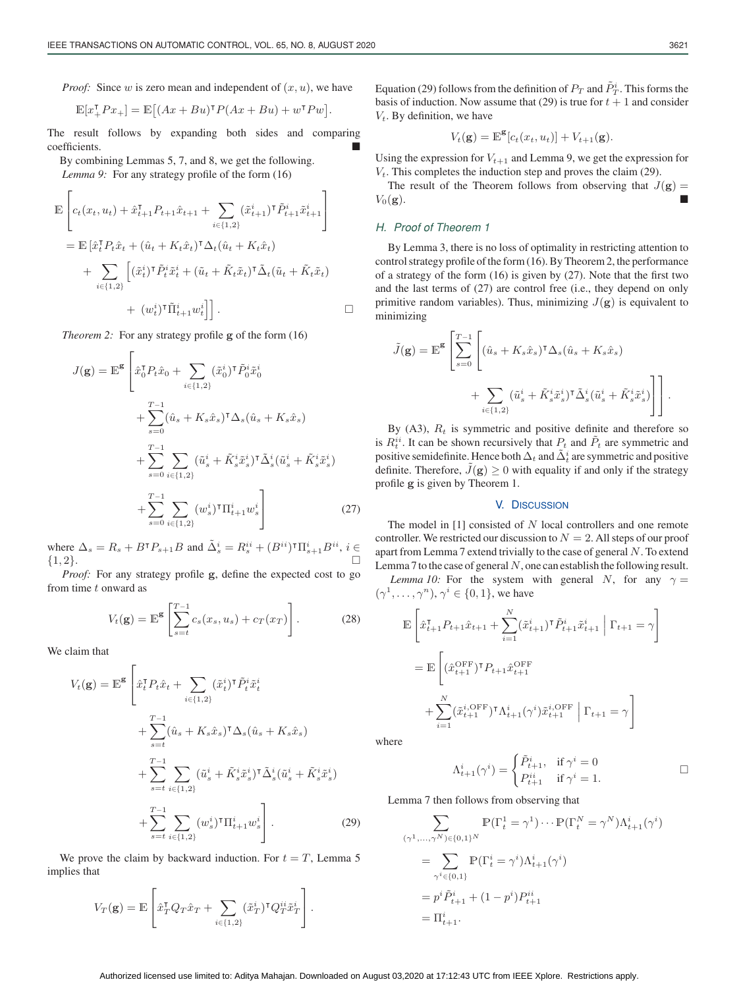*Proof:* Since  $w$  is zero mean and independent of  $(x, u)$ , we have

$$
\mathbb{E}[x_+^{\mathsf{T}} Px_+] = \mathbb{E}\big[(Ax + Bu)^{\mathsf{T}} P(Ax + Bu) + w^{\mathsf{T}} P w\big]
$$

The result follows by expanding both sides and comparing coefficients.

By combining Lemmas 5, 7, and 8, we get the following. *Lemma 9:* For any strategy profile of the form (16)

$$
\mathbb{E}\left[c_{t}(x_{t}, u_{t}) + \hat{x}_{t+1}^{\mathsf{T}}P_{t+1}\hat{x}_{t+1} + \sum_{i\in\{1,2\}} (\tilde{x}_{t+1}^{i})^{\mathsf{T}}\tilde{P}_{t+1}^{i}\tilde{x}_{t+1}^{i}\right] \n= \mathbb{E}\left[\hat{x}_{t}^{\mathsf{T}}P_{t}\hat{x}_{t} + (\hat{u}_{t} + K_{t}\hat{x}_{t})^{\mathsf{T}}\Delta_{t}(\hat{u}_{t} + K_{t}\hat{x}_{t}) + \sum_{i\in\{1,2\}}\left[ (\tilde{x}_{t}^{i})^{\mathsf{T}}\tilde{P}_{t}^{i}\tilde{x}_{t}^{i} + (\tilde{u}_{t} + \tilde{K}_{t}\tilde{x}_{t})^{\mathsf{T}}\tilde{\Delta}_{t}(\tilde{u}_{t} + \tilde{K}_{t}\tilde{x}_{t}) + (w_{t}^{i})^{\mathsf{T}}\tilde{\Pi}_{t+1}^{i}w_{t}^{i}\right]\right].
$$

*Theorem 2:* For any strategy profile **g** of the form (16)

$$
J(\mathbf{g}) = \mathbb{E}^{\mathbf{g}} \left[ \hat{x}_0^{\mathsf{T}} P_t \hat{x}_0 + \sum_{i \in \{1,2\}} (\tilde{x}_0^i)^{\mathsf{T}} \tilde{P}_0^i \tilde{x}_0^i + \sum_{s=0}^{T-1} (\hat{u}_s + K_s \hat{x}_s)^{\mathsf{T}} \Delta_s (\hat{u}_s + K_s \hat{x}_s) + \sum_{s=0}^{T-1} \sum_{i \in \{1,2\}} (\tilde{u}_s^i + \tilde{K}_s^i \tilde{x}_s^i)^{\mathsf{T}} \tilde{\Delta}_s^i (\tilde{u}_s^i + \tilde{K}_s^i \tilde{x}_s^i) + \sum_{s=0}^{T-1} \sum_{i \in \{1,2\}} (w_s^i)^{\mathsf{T}} \Pi_{t+1}^i w_s^i \right]
$$
(27)

where  $\Delta_s = R_s + B^{\dagger} P_{s+1} B$  and  $\tilde{\Delta}_s^i = R_s^{ii} + (B^{ii})^{\dagger} \Pi_{s+1}^i B^{ii}$ ,  $i \in I_1$  $\{1,2\}$ .  $\Box$ <br>*Proof:* For any strategy profile  $\alpha$  define the expected cost to go

*Proof:* For any strategy profile **g**, define the expected cost to go from time t onward as

$$
V_t(\mathbf{g}) = \mathbb{E}^{\mathbf{g}} \left[ \sum_{s=t}^{T-1} c_s(x_s, u_s) + c_T(x_T) \right]. \tag{28}
$$

We claim that

$$
V_t(\mathbf{g}) = \mathbb{E}^{\mathbf{g}} \left[ \hat{x}_t^{\mathsf{T}} P_t \hat{x}_t + \sum_{i \in \{1,2\}} (\tilde{x}_t^i)^{\mathsf{T}} \tilde{P}_t^i \tilde{x}_t^i + \sum_{s=t}^{T-1} (\hat{u}_s + K_s \hat{x}_s)^{\mathsf{T}} \Delta_s (\hat{u}_s + K_s \hat{x}_s) + \sum_{s=t}^{T-1} \sum_{i \in \{1,2\}} (\tilde{u}_s^i + \tilde{K}_s^i \tilde{x}_s^i)^{\mathsf{T}} \tilde{\Delta}_s^i (\tilde{u}_s^i + \tilde{K}_s^i \tilde{x}_s^i) + \sum_{s=t}^{T-1} \sum_{i \in \{1,2\}} (w_s^i)^{\mathsf{T}} \Pi_{t+1}^i w_s^i \right].
$$
 (29)

We prove the claim by backward induction. For  $t = T$ , Lemma 5 implies that

$$
V_T(\mathbf{g}) = \mathbb{E}\left[\hat{x}_T^\mathsf{T} Q_T \hat{x}_T + \sum_{i \in \{1,2\}} (\tilde{x}_T^i)^\mathsf{T} Q_T^{ii} \tilde{x}_T^i\right].
$$

Equation (29) follows from the definition of  $P_T$  and  $\tilde{P}_T^i$ . This forms the basis of induction. Now assume that (20) is true for  $t + 1$  and consider basis of induction. Now assume that (29) is true for  $t + 1$  and consider  $V_t$ . By definition, we have

$$
V_t(\mathbf{g}) = \mathbb{E}^{\mathbf{g}}[c_t(x_t, u_t)] + V_{t+1}(\mathbf{g}).
$$

Using the expression for  $V_{t+1}$  and Lemma 9, we get the expression for  $V_t$ . This completes the induction step and proves the claim (29).

The result of the Theorem follows from observing that  $J(\mathbf{g}) = V_0(\mathbf{g})$ .  $V_0(\mathbf{g})$ .

# *H. Proof of Theorem 1*

By Lemma 3, there is no loss of optimality in restricting attention to control strategy profile of the form (16). By Theorem 2, the performance of a strategy of the form (16) is given by (27). Note that the first two and the last terms of (27) are control free (i.e., they depend on only primitive random variables). Thus, minimizing  $J(\mathbf{g})$  is equivalent to minimizing

$$
\tilde{J}(\mathbf{g}) = \mathbb{E}^{\mathbf{g}} \left[ \sum_{s=0}^{T-1} \left[ (\hat{u}_s + K_s \hat{x}_s)^{\mathsf{T}} \Delta_s (\hat{u}_s + K_s \hat{x}_s) + \sum_{i \in \{1,2\}} (\tilde{u}_s^i + \tilde{K}_s^i \tilde{x}_s^i)^{\mathsf{T}} \tilde{\Delta}_s^i (\tilde{u}_s^i + \tilde{K}_s^i \tilde{x}_s^i) \right] \right].
$$

By (A3),  $R_t$  is symmetric and positive definite and therefore so is  $R_t^{ii}$ . It can be shown recursively that  $P_t$  and  $\tilde{P}_t$  are symmetric and nositive semidefinite. Hence both  $\Delta$ , and  $\tilde{\Delta}^i$  are symmetric and nositive positive semidefinite. Hence both  $\Delta_t$  and  $\tilde{\Delta}_t^i$  are symmetric and positive definite. Therefore,  $\tilde{J}(\mathbf{g}) \geq 0$  with equality if and only if the strategy profile **g** is given by Theorem 1.

# V. DISCUSSION

The model in  $[1]$  consisted of  $N$  local controllers and one remote controller. We restricted our discussion to  $N = 2$ . All steps of our proof apart from Lemma 7 extend trivially to the case of general  $N$ . To extend Lemma 7 to the case of general  $N$ , one can establish the following result.

*Lemma 10:* For the system with general N, for any  $\gamma =$  $(\gamma^1,\ldots,\gamma^n), \gamma^i \in \{0,1\}$ , we have

$$
\begin{split} \mathbb{E}\left[\hat{x}_{t+1}^{\mathsf{T}}P_{t+1}\hat{x}_{t+1}+\sum_{i=1}^{N}(\tilde{x}_{t+1}^{i})^{\mathsf{T}}\tilde{P}_{t+1}^{i}\tilde{x}_{t+1}^{i}\;\middle\vert\; \Gamma_{t+1}=\gamma\right] \\ =\mathbb{E}\left[(\hat{x}_{t+1}^{\mathrm{OFF}})^{\mathsf{T}}P_{t+1}\hat{x}_{t+1}^{\mathrm{OFF}} \\ +\sum_{i=1}^{N}(\tilde{x}_{t+1}^{i,\mathrm{OFF}})^{\mathsf{T}}\Lambda_{t+1}^{i}(\gamma^{i})\tilde{x}_{t+1}^{i,\mathrm{OFF}}\;\middle\vert\; \Gamma_{t+1}=\gamma\right] \end{split}
$$

where

$$
\Lambda_{t+1}^i(\gamma^i) = \begin{cases} \tilde{P}_{t+1}^i, & \text{if } \gamma^i = 0\\ P_{t+1}^{ii} & \text{if } \gamma^i = 1. \end{cases} \square
$$

Lemma 7 then follows from observing that

$$
\sum_{(\gamma^1,\dots,\gamma^N)\in\{0,1\}^N} \mathbb{P}(\Gamma_t^1 = \gamma^1) \cdots \mathbb{P}(\Gamma_t^N = \gamma^N) \Lambda_{t+1}^i(\gamma^i)
$$
  
= 
$$
\sum_{\gamma^i \in \{0,1\}} \mathbb{P}(\Gamma_t^i = \gamma^i) \Lambda_{t+1}^i(\gamma^i)
$$
  
= 
$$
p^i \tilde{P}_{t+1}^i + (1-p^i) P_{t+1}^{ii}
$$
  
= 
$$
\Pi_{t+1}^i.
$$